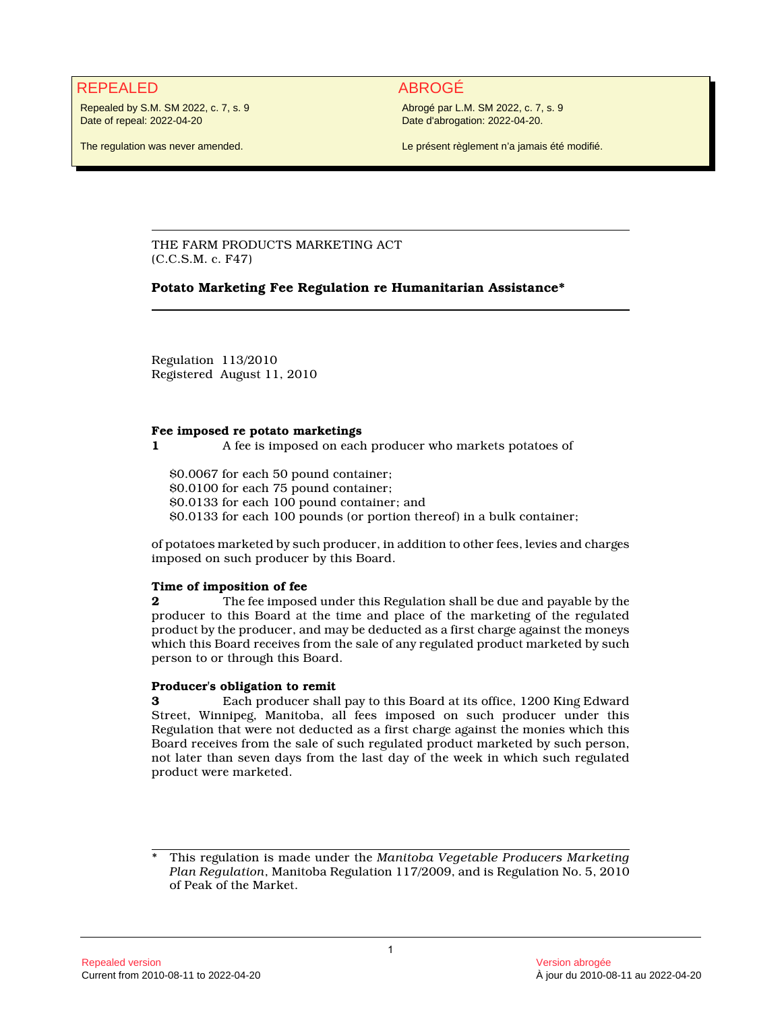## REPEALED ABROGÉ

Repealed by S.M. SM 2022, c. 7, s. 9 Date of repeal: 2022-04-20

Abrogé par L.M. SM 2022, c. 7, s. 9 Date d'abrogation: 2022-04-20.

The regulation was never amended.

Le présent règlement n'a jamais été modifié.

THE FARM PRODUCTS MARKETING ACT (C.C.S.M. c. F47)

## **Potato Marketing Fee Regulation re Humanitarian Assistance\***

Regulation 113/2010 Registered August 11, 2010

#### **Fee imposed re potato marketings**

**1** A fee is imposed on each producer who markets potatoes of

\$0.0067 for each 50 pound container; \$0.0100 for each 75 pound container; \$0.0133 for each 100 pound container; and \$0.0133 for each 100 pounds (or portion thereof) in a bulk container;

of potatoes marketed by such producer, in addition to other fees, levies and charges imposed on such producer by this Board.

### **Time of imposition of fee**

**2** The fee imposed under this Regulation shall be due and payable by the producer to this Board at the time and place of the marketing of the regulated product by the producer, and may be deducted as a first charge against the moneys which this Board receives from the sale of any regulated product marketed by such person to or through this Board.

#### **Producer's obligation to remit**

**3** Each producer shall pay to this Board at its office, 1200 King Edward Street, Winnipeg, Manitoba, all fees imposed on such producer under this Regulation that were not deducted as a first charge against the monies which this Board receives from the sale of such regulated product marketed by such person, not later than seven days from the last day of the week in which such regulated product were marketed.

<sup>\*</sup> This regulation is made under the *Manitoba Vegetable Producers Marketing Plan Regulation*, Manitoba Regulation 117/2009, and is Regulation No. 5, 2010 of Peak of the Market.